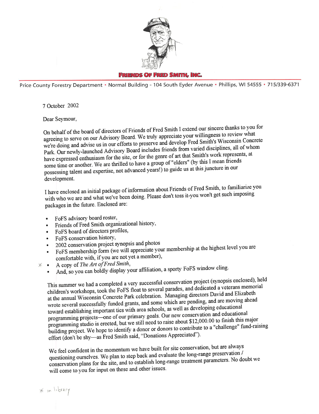

FRIENDS OF FRED SMITH, INC.

Price County Forestry Department • Normal Building - 104 South Eyder Avenue • Phillips, WI 54555 • 715/339-6371

7 October 2002

Dear Sevmour,

On behalf of the board of directors of Friends of Fred Smith I extend our sincere thanks to you for agreeing to serve on our Advisory Board. We truly appreciate your willingness to review what we're doing and advise us in have expressed enthusiasm for the site, or for the genre of art that Smith's work represents, at some time or another. We are thrilled to have a group of "elders" (by this I mean friends possessing talent and expertise, not advanced years!) to guide us at this juncture development.

I have enclosed an initial package of information about Friends of Fred Smith, to familiarize you with who we are and what we've been doing. Please don't toss it-you won't get such imposing packages in the future. Enclosed are;

- FoFS advisory board roster,
- Friends of Fred Smith organizational history,
- FoFS board of directors profiles,
- FoFS conservation history,
- 2002 conservation project synopsis and photos
- FoFS membership form (we will appreciate your membership at the highest level you are comfortable with, if you are not yet a member),
- comfortable with, if you are not yet a member),<br>A copy of *The Art of Fred Smith*,
	- A copy of the rivery very display your affiliation, a sporty FoFS window cling.

This summer we had a completed a very successful conservation project (synopsis enclosed), held children's workshops, took the FoFS float to several parades, and dedicated a veterans memorial at the annual Wisconsin Concre toward establishing important ties with area schools, as well as developing calculational<br>programming projects—one of our primary goals. Our new conservation and educational programming studio is erected, but we still need to raise about \$12,000.00 to finish this major building project. We hope to identify a donor or donors to contribute to a "challenge" fund-raising effort (don't be shy—as Fr

We feel confident in the momentum we have built for site conservation, but are always questioning ourselves. We plan to step back and evaluate the long-range preservation / conservation plans for the site, and to establish long-range treatment parameters. No doubt we will come to you for input on these and other issues.